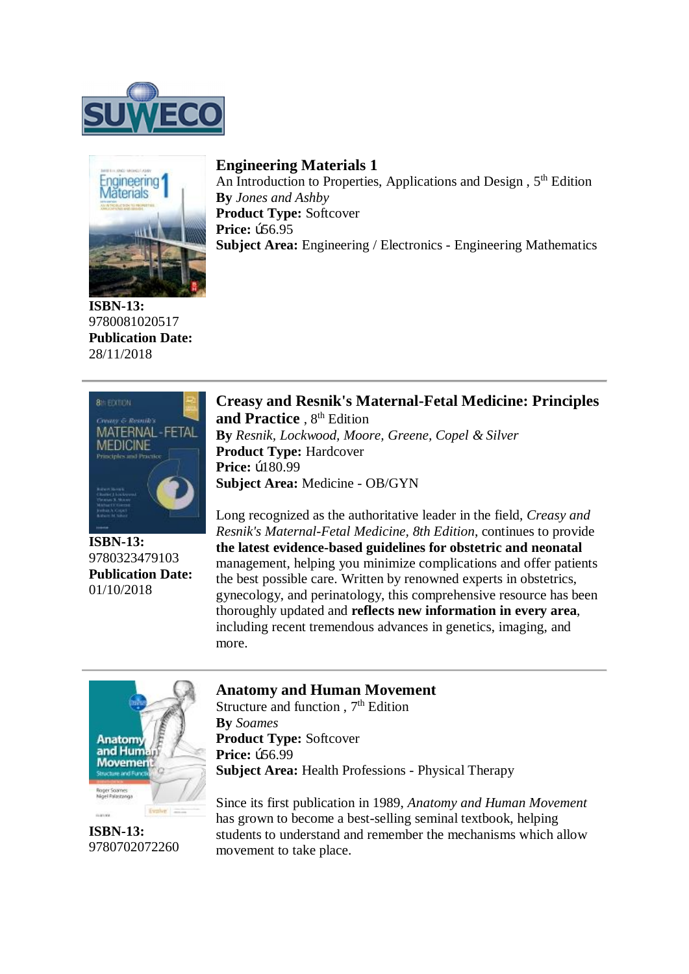



**ISBN-13:**  9780081020517 **Publication Date:**  28/11/2018

## **Engineering Materials 1**

An Introduction to Properties, Applications and Design , 5<sup>th</sup> Edition **By** *Jones and Ashby* **Product Type: Softcover Price: b56.95 Subject Area:** Engineering / Electronics - Engineering Mathematics



**ISBN-13:**  9780323479103 **Publication Date:**  01/10/2018

## **Creasy and Resnik's Maternal-Fetal Medicine: Principles**

and Practice , 8<sup>th</sup> Edition **By** *Resnik, Lockwood, Moore, Greene, Copel & Silver* **Product Type:** Hardcover **Price: b180.99 Subject Area:** Medicine - OB/GYN

Long recognized as the authoritative leader in the field, *Creasy and Resnik's Maternal-Fetal Medicine, 8th Edition*, continues to provide **the latest evidence-based guidelines for obstetric and neonatal** management, helping you minimize complications and offer patients the best possible care. Written by renowned experts in obstetrics, gynecology, and perinatology, this comprehensive resource has been thoroughly updated and **reflects new information in every area**, including recent tremendous advances in genetics, imaging, and more.



**ISBN-13:**  9780702072260

## **Anatomy and Human Movement**

Structure and function,  $7<sup>th</sup>$  Edition **By** *Soames* **Product Type: Softcover Price: b56.99 Subject Area:** Health Professions - Physical Therapy

Since its first publication in 1989, *Anatomy and Human Movement* has grown to become a best-selling seminal textbook, helping students to understand and remember the mechanisms which allow movement to take place.